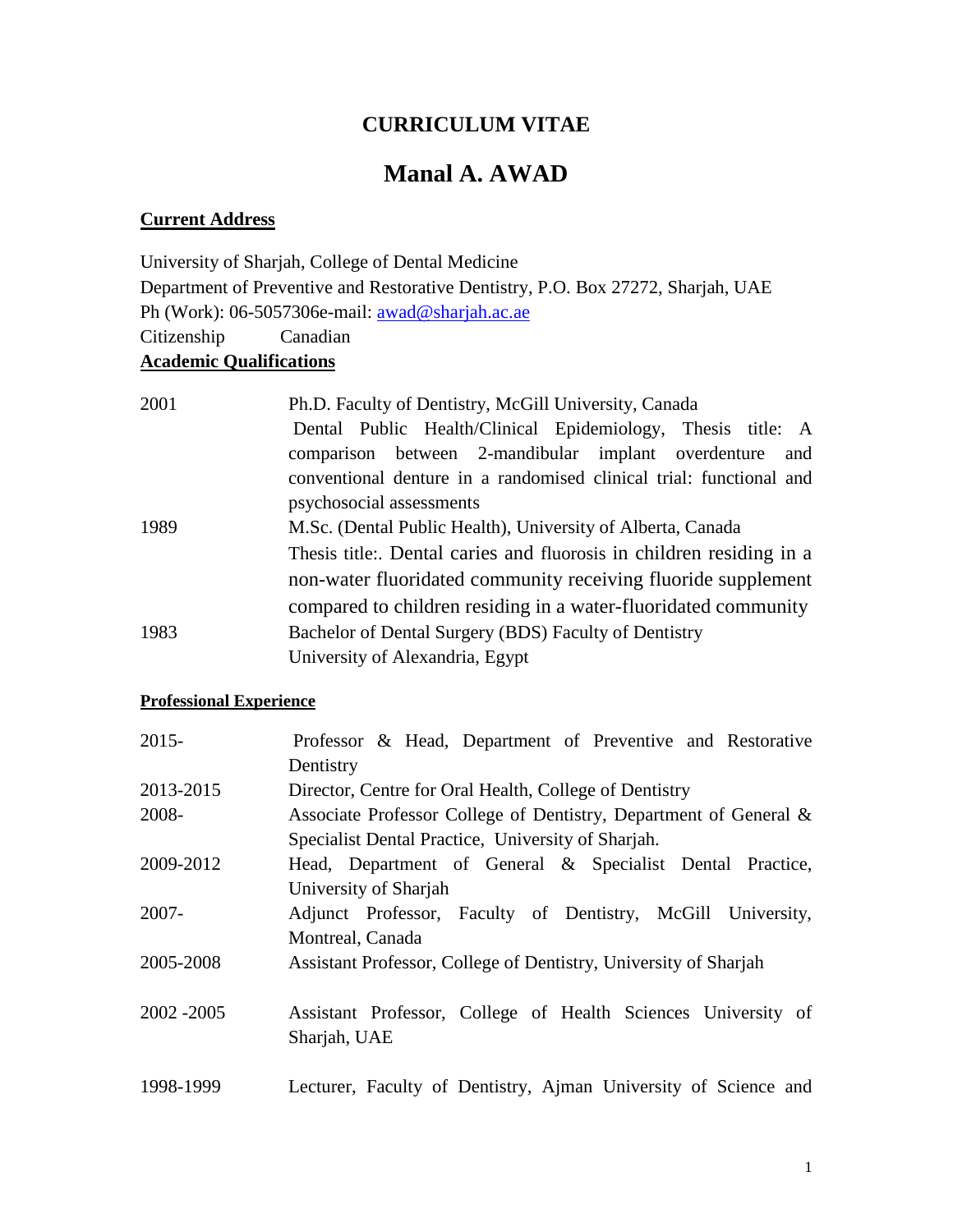# **CURRICULUM VITAE**

# **Manal A. AWAD**

# **Current Address**

University of Sharjah, College of Dental Medicine Department of Preventive and Restorative Dentistry, P.O. Box 27272, Sharjah, UAE Ph (Work): 06-5057306e-mail: **awad@sharjah.ac.ae** Citizenship Canadian **Academic Qualifications**

| 2001 | Ph.D. Faculty of Dentistry, McGill University, Canada               |
|------|---------------------------------------------------------------------|
|      | Dental Public Health/Clinical Epidemiology, Thesis title: A         |
|      | comparison between 2-mandibular implant overdenture and             |
|      | conventional denture in a randomised clinical trial: functional and |
|      | psychosocial assessments                                            |
| 1989 | M.Sc. (Dental Public Health), University of Alberta, Canada         |
|      | Thesis title: Dental caries and fluorosis in children residing in a |
|      | non-water fluoridated community receiving fluoride supplement       |
|      | compared to children residing in a water-fluoridated community      |
| 1983 | Bachelor of Dental Surgery (BDS) Faculty of Dentistry               |
|      | University of Alexandria, Egypt                                     |

# **Professional Experience**

| $2015 -$    | Professor & Head, Department of Preventive and Restorative        |
|-------------|-------------------------------------------------------------------|
|             | Dentistry                                                         |
| 2013-2015   | Director, Centre for Oral Health, College of Dentistry            |
| 2008-       | Associate Professor College of Dentistry, Department of General & |
|             | Specialist Dental Practice, University of Sharjah.                |
| 2009-2012   | Head, Department of General & Specialist Dental Practice,         |
|             | University of Sharjah                                             |
| $2007 -$    | Adjunct Professor, Faculty of Dentistry, McGill University,       |
|             | Montreal, Canada                                                  |
| 2005-2008   | Assistant Professor, College of Dentistry, University of Sharjah  |
|             |                                                                   |
| 2002 - 2005 | Assistant Professor, College of Health Sciences University of     |
|             | Sharjah, UAE                                                      |
| 1998-1999   | Lecturer, Faculty of Dentistry, Ajman University of Science and   |
|             |                                                                   |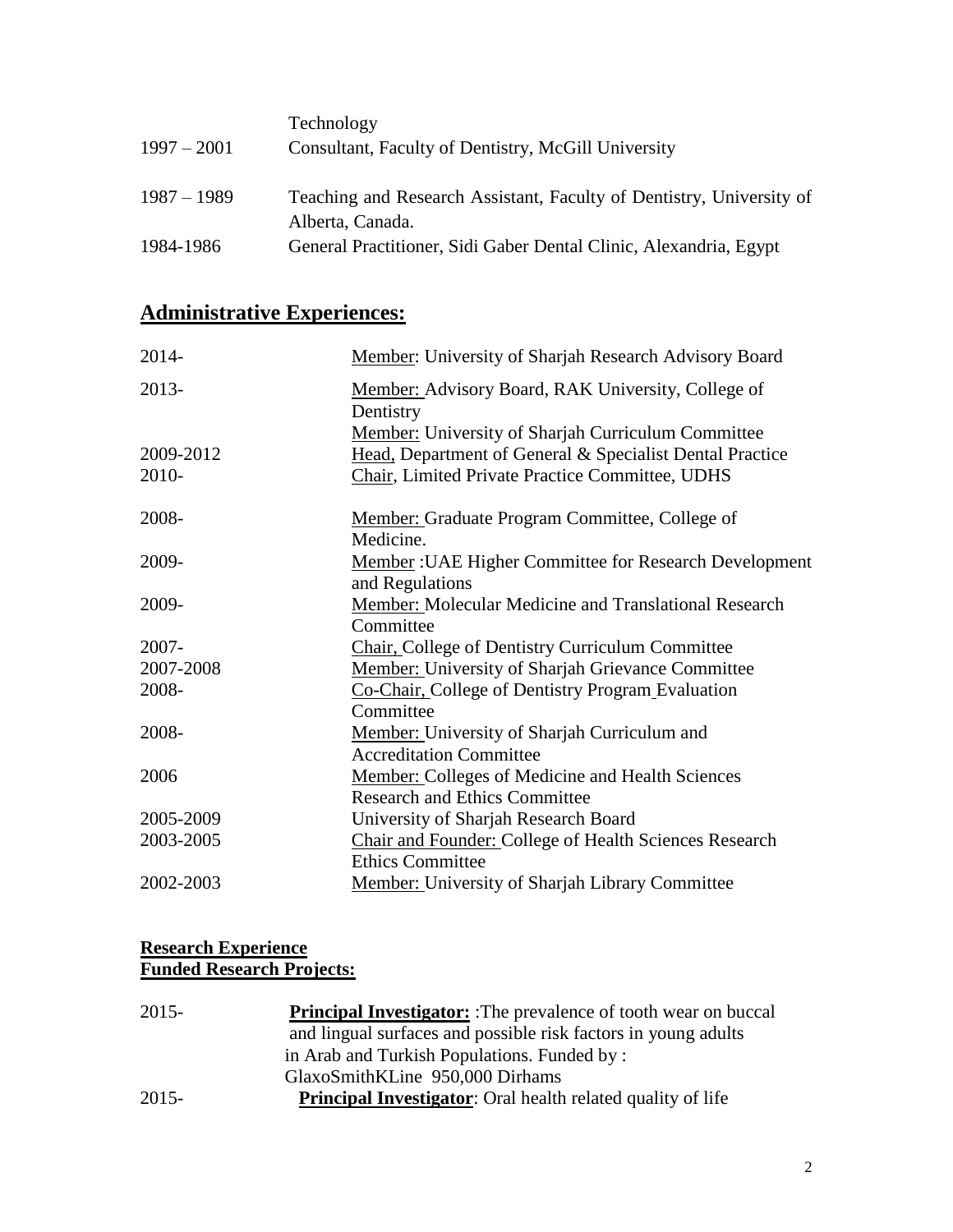| $1997 - 2001$ | Technology<br>Consultant, Faculty of Dentistry, McGill University                        |
|---------------|------------------------------------------------------------------------------------------|
| $1987 - 1989$ | Teaching and Research Assistant, Faculty of Dentistry, University of<br>Alberta, Canada. |
| 1984-1986     | General Practitioner, Sidi Gaber Dental Clinic, Alexandria, Egypt                        |

# **Administrative Experiences:**

| 2014-     | Member: University of Sharjah Research Advisory Board           |
|-----------|-----------------------------------------------------------------|
| 2013-     | Member: Advisory Board, RAK University, College of<br>Dentistry |
|           | Member: University of Sharjah Curriculum Committee              |
| 2009-2012 | Head, Department of General & Specialist Dental Practice        |
| 2010-     | Chair, Limited Private Practice Committee, UDHS                 |
| 2008-     | Member: Graduate Program Committee, College of                  |
|           | Medicine.                                                       |
| 2009-     | <b>Member: UAE Higher Committee for Research Development</b>    |
|           | and Regulations                                                 |
| 2009-     | Member: Molecular Medicine and Translational Research           |
|           | Committee                                                       |
| 2007-     | Chair, College of Dentistry Curriculum Committee                |
| 2007-2008 | <b>Member:</b> University of Sharjah Grievance Committee        |
| 2008-     | Co-Chair, College of Dentistry Program Evaluation               |
|           | Committee                                                       |
| 2008-     | Member: University of Sharjah Curriculum and                    |
|           | <b>Accreditation Committee</b>                                  |
| 2006      | <b>Member:</b> Colleges of Medicine and Health Sciences         |
|           | <b>Research and Ethics Committee</b>                            |
| 2005-2009 | University of Sharjah Research Board                            |
| 2003-2005 | Chair and Founder: College of Health Sciences Research          |
|           | <b>Ethics Committee</b>                                         |
| 2002-2003 | <b>Member:</b> University of Sharjah Library Committee          |
|           |                                                                 |

#### **Research Experience Funded Research Projects:**

| 2015-    | <b>Principal Investigator:</b> :The prevalence of tooth wear on buccal |
|----------|------------------------------------------------------------------------|
|          | and lingual surfaces and possible risk factors in young adults         |
|          | in Arab and Turkish Populations. Funded by:                            |
|          | GlaxoSmithKLine 950,000 Dirhams                                        |
| $2015 -$ | <b>Principal Investigator:</b> Oral health related quality of life     |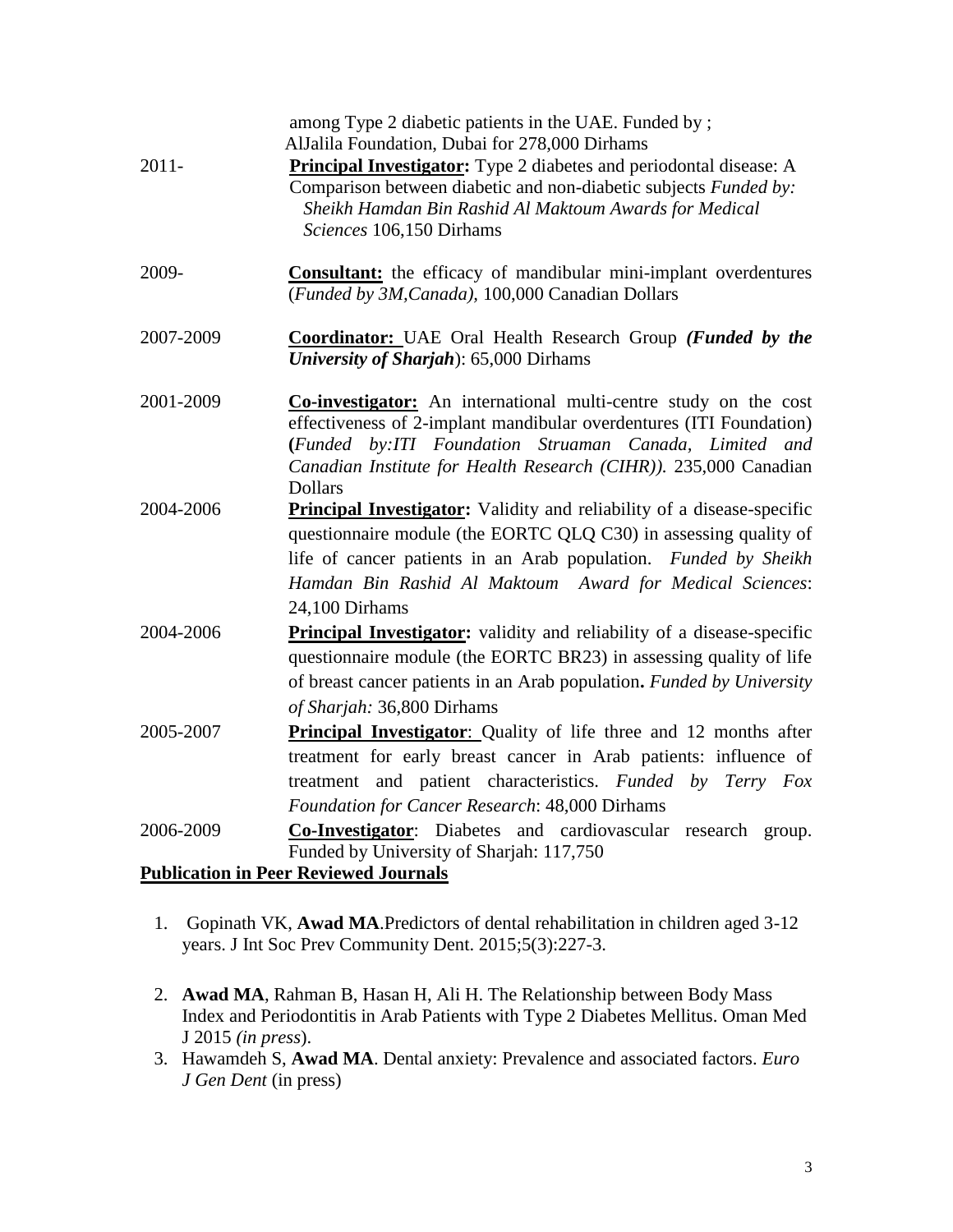| $2011 -$  | among Type 2 diabetic patients in the UAE. Funded by;<br>AlJalila Foundation, Dubai for 278,000 Dirhams<br><b>Principal Investigator:</b> Type 2 diabetes and periodontal disease: A<br>Comparison between diabetic and non-diabetic subjects Funded by:<br>Sheikh Hamdan Bin Rashid Al Maktoum Awards for Medical<br>Sciences 106,150 Dirhams |
|-----------|------------------------------------------------------------------------------------------------------------------------------------------------------------------------------------------------------------------------------------------------------------------------------------------------------------------------------------------------|
| 2009-     | Consultant: the efficacy of mandibular mini-implant overdentures<br>(Funded by 3M, Canada), 100,000 Canadian Dollars                                                                                                                                                                                                                           |
| 2007-2009 | <b>Coordinator:</b> UAE Oral Health Research Group (Funded by the<br><b>University of Sharjah</b> ): 65,000 Dirhams                                                                                                                                                                                                                            |
| 2001-2009 | <b>Co-investigator:</b> An international multi-centre study on the cost<br>effectiveness of 2-implant mandibular overdentures (ITI Foundation)<br>(Funded by:ITI Foundation Struaman Canada, Limited and<br>Canadian Institute for Health Research (CIHR)). 235,000 Canadian<br><b>Dollars</b>                                                 |
| 2004-2006 | <b>Principal Investigator:</b> Validity and reliability of a disease-specific<br>questionnaire module (the EORTC QLQ C30) in assessing quality of<br>life of cancer patients in an Arab population. Funded by Sheikh<br>Hamdan Bin Rashid Al Maktoum Award for Medical Sciences:<br>24,100 Dirhams                                             |
| 2004-2006 | <b>Principal Investigator:</b> validity and reliability of a disease-specific<br>questionnaire module (the EORTC BR23) in assessing quality of life<br>of breast cancer patients in an Arab population. Funded by University<br>of Sharjah: 36,800 Dirhams                                                                                     |
| 2005-2007 | <b>Principal Investigator:</b> Quality of life three and 12 months after<br>treatment for early breast cancer in Arab patients: influence of<br>treatment and patient characteristics. Funded by Terry Fox<br>Foundation for Cancer Research: 48,000 Dirhams                                                                                   |
| 2006-2009 | Co-Investigator: Diabetes and cardiovascular research group.<br>Funded by University of Sharjah: 117,750                                                                                                                                                                                                                                       |
|           | <b>Publication in Peer Reviewed Journals</b>                                                                                                                                                                                                                                                                                                   |

- 1. Gopinath VK, **Awad MA**[.Predictors of dental rehabilitation in children aged 3-12](http://www.ncbi.nlm.nih.gov/pubmed/26236683)  [years.](http://www.ncbi.nlm.nih.gov/pubmed/26236683) J Int Soc Prev Community Dent. 2015;5(3):227-3.
- 2. **Awad MA**, Rahman B, Hasan H, Ali H. The Relationship between Body Mass Index and Periodontitis in Arab Patients with Type 2 Diabetes Mellitus. Oman Med J 2015 *(in press*).
- 3. Hawamdeh S, **Awad MA**. Dental anxiety: Prevalence and associated factors. *Euro J Gen Dent* (in press)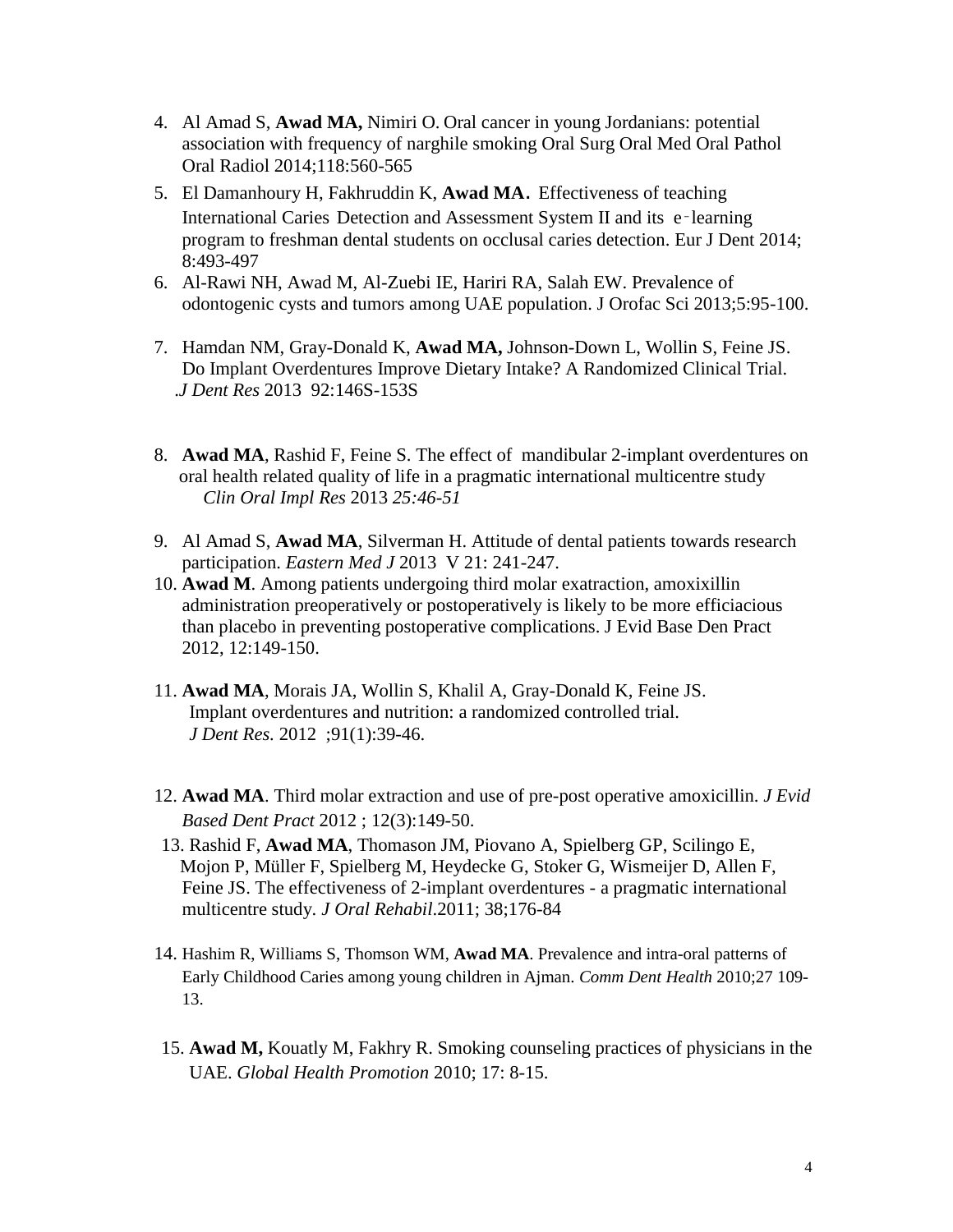- 4. Al Amad S, **Awad MA,** Nimiri O. Oral cancer in young Jordanians: potential association with frequency of narghile smoking Oral Surg Oral Med Oral Pathol Oral Radiol 2014;118:560-565
- 5. El Damanhoury H, Fakhruddin K, **Awad MA**. Effectiveness of teaching International Caries Detection and Assessment System II and its e-learning program to freshman dental students on occlusal caries detection. Eur J Dent 2014; 8:493-497
- 6. Al-Rawi NH, Awad M, Al-Zuebi IE, Hariri RA, Salah EW. Prevalence of odontogenic cysts and tumors among UAE population. J Orofac Sci 2013;5:95-100.
- 7. Hamdan NM, Gray-Donald K, **Awad MA,** Johnson-Down L, Wollin S, Feine JS. [Do Implant Overdentures Improve Dietary Intake? A Randomized Clinical Trial.](http://www.ncbi.nlm.nih.gov/pubmed/24158335) .*J Dent Res* 201392:146S-153S
- 8. **Awad MA**, Rashid F, Feine S. The effect of mandibular 2-implant overdentures on oral health related quality of life in a pragmatic international multicentre study  *Clin Oral Impl Res* 2013 *25:46-51*
- 9. Al Amad S, **Awad MA**, Silverman H. Attitude of dental patients towards research participation. *Eastern Med J* 2013 V 21: 241-247.
- 10. **Awad M**. Among patients undergoing third molar exatraction, amoxixillin administration preoperatively or postoperatively is likely to be more efficiacious than placebo in preventing postoperative complications. J Evid Base Den Pract 2012, 12:149-150.
- 11. **Awad MA**, Morais JA, Wollin S, Khalil A, Gray-Donald K, Feine JS. [Implant overdentures and nutrition: a randomized controlled trial.](http://www.ncbi.nlm.nih.gov/pubmed/21951464) *J Dent Res.* 2012 ;91(1):39-46.
- 12. **Awad MA**. Third molar extraction and use of pre-post operative amoxicillin. *J Evid Based Dent Pract* 2012 ; 12(3):149-50.
- 13. Rashid F, **Awad MA**, Thomason JM, Piovano A, Spielberg GP, Scilingo E, Mojon P, Müller F, Spielberg M, Heydecke G, Stoker G, Wismeijer D, Allen F, Feine JS. The effectiveness of 2-implant overdentures - a pragmatic international multicentre study. *J Oral Rehabil*.2011; 38;176-84
- 14. Hashim R, Williams S, Thomson WM, **Awad MA**. Prevalence and intra-oral patterns of Early Childhood Caries among young children in Ajman. *Comm Dent Health* 2010;27 109- 13.
- 15. **Awad M,** Kouatly M, Fakhry R. Smoking counseling practices of physicians in the UAE. *Global Health Promotion* 2010; 17: 8-15.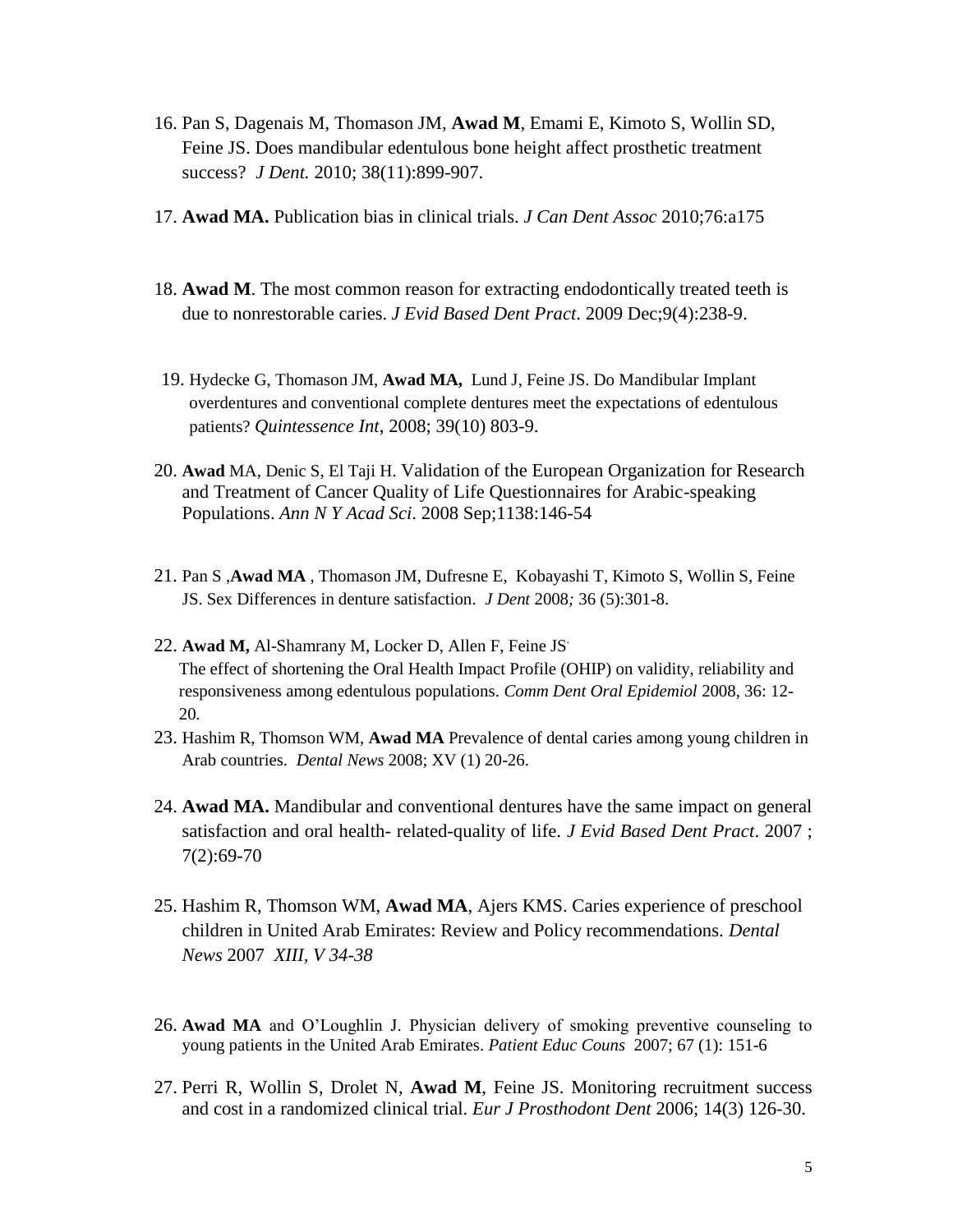- 16. Pan S, Dagenais M, Thomason JM, **Awad M**, Emami E, Kimoto S, Wollin SD, Feine JS. Does mandibular edentulous bone height affect prosthetic treatment success? *J Dent.* 2010; 38(11):899-907.
- 17. **Awad MA.** Publication bias in clinical trials. *J Can Dent Assoc* 2010;76:a175
- 18. **Awad M**. [The most common reason for extracting endodontically treated teeth is](http://www.ncbi.nlm.nih.gov/pubmed/19913749?itool=EntrezSystem2.PEntrez.Pubmed.Pubmed_ResultsPanel.Pubmed_RVDocSum&ordinalpos=2)  [due to nonrestorable caries.](http://www.ncbi.nlm.nih.gov/pubmed/19913749?itool=EntrezSystem2.PEntrez.Pubmed.Pubmed_ResultsPanel.Pubmed_RVDocSum&ordinalpos=2) *J Evid Based Dent Pract*. 2009 Dec;9(4):238-9.
- 19. Hydecke G, Thomason JM, **Awad MA,** Lund J, Feine JS. Do Mandibular Implant overdentures and conventional complete dentures meet the expectations of edentulous patients? *Quintessence Int*, 2008; 39(10) 803-9.
- 20. **Awad** MA, Denic S, El Taji H. [Validation of the European Organization for Research](http://www.ncbi.nlm.nih.gov/pubmed/18837895)  [and Treatment of Cancer Quality of Life Questionnaires for Arabic-speaking](http://www.ncbi.nlm.nih.gov/pubmed/18837895)  [Populations.](http://www.ncbi.nlm.nih.gov/pubmed/18837895) *Ann N Y Acad Sci*. 2008 Sep;1138:146-54
- 21. Pan S ,**Awad MA** , Thomason JM, Dufresne E, Kobayashi T, Kimoto S, Wollin S, Feine JS. Sex Differences in denture satisfaction. *J Dent* 2008*;* 36 (5):301-8.
- 22. **Awad M,** Al-Shamrany M, Locker D, Allen F, Feine JS. The effect of shortening the Oral Health Impact Profile (OHIP) on validity, reliability and responsiveness among edentulous populations. *Comm Dent Oral Epidemiol* 2008, 36: 12- 20*.*
- 23. Hashim R, Thomson WM, **Awad MA** Prevalence of dental caries among young children in Arab countries. *Dental News* 2008; XV (1) 20-26.
- 24. **Awad MA.** Mandibular and conventional dentures have the same impact on general satisfaction and oral health- related-quality of life. *J Evid Based Dent Pract*. 2007 ; 7(2):69-70
- 25. Hashim R, Thomson WM, **Awad MA**, Ajers KMS. Caries experience of preschool children in United Arab Emirates: Review and Policy recommendations. *Dental News* 2007 *XIII, V 34-38*
- 26. **Awad MA** and O'Loughlin J. Physician delivery of smoking preventive counseling to young patients in the United Arab Emirates. *Patient Educ Couns* 2007; 67 (1): 151-6
- 27. Perri R, Wollin S, Drolet N, **Awad M**, Feine JS. Monitoring recruitment success and cost in a randomized clinical trial. *Eur J Prosthodont Dent* 2006; 14(3) 126-30.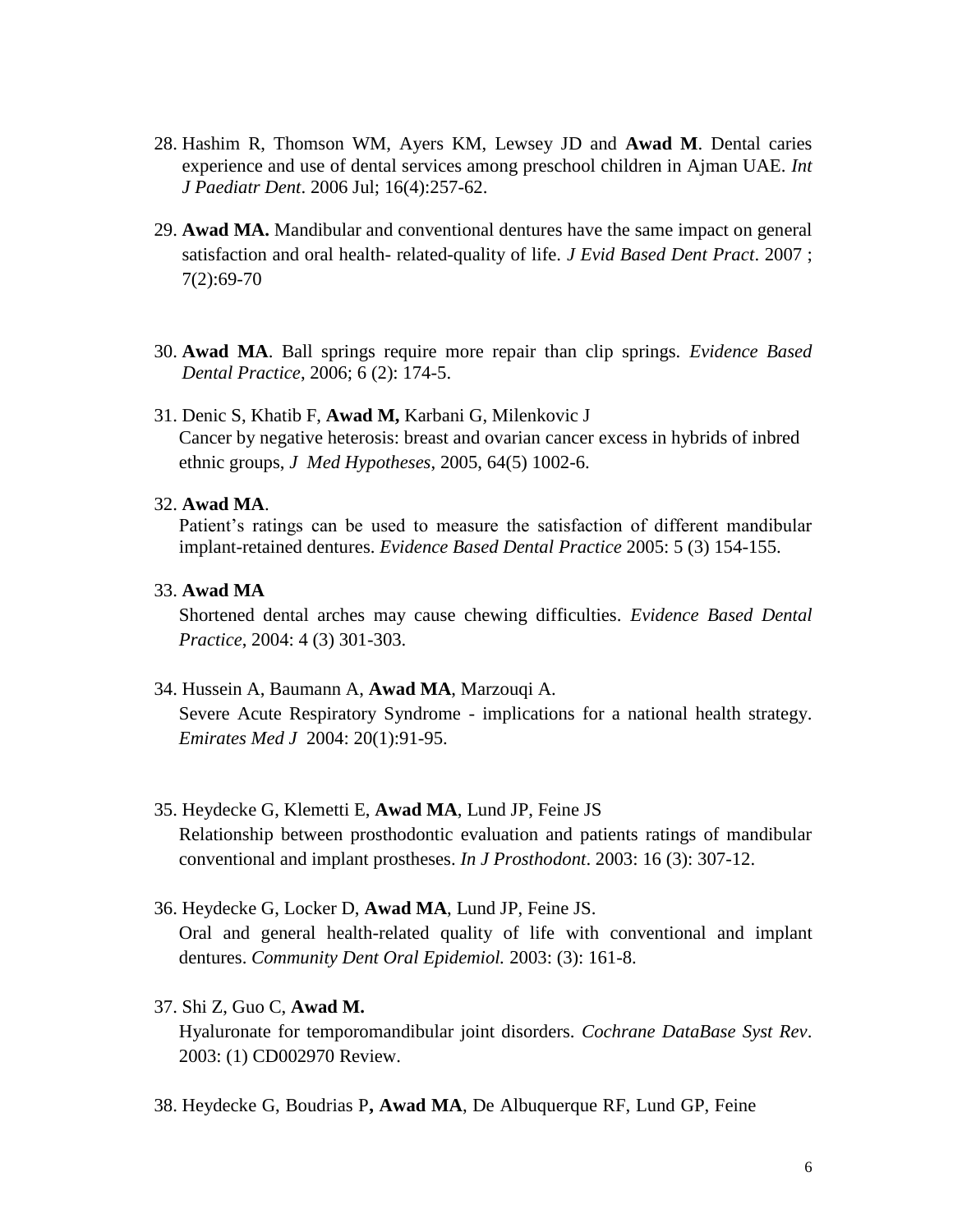- 28. Hashim R, Thomson WM, Ayers KM, Lewsey JD and **Awad M**. Dental caries experience and use of dental services among preschool children in Ajman UAE. *Int J Paediatr Dent*. 2006 Jul; 16(4):257-62.
- 29. **Awad MA.** Mandibular and conventional dentures have the same impact on general satisfaction and oral health- related-quality of life. *J Evid Based Dent Pract*. 2007 ; 7(2):69-70
- 30. **Awad MA**. Ball springs require more repair than clip springs. *Evidence Based Dental Practice*, 2006; 6 (2): 174-5.
- 31. Denic S, Khatib F, **Awad M,** Karbani G, Milenkovic J Cancer by negative heterosis: breast and ovarian cancer excess in hybrids of inbred ethnic groups, *J Med Hypotheses*, 2005, 64(5) 1002-6.

#### 32. **Awad MA**.

Patient's ratings can be used to measure the satisfaction of different mandibular implant-retained dentures. *Evidence Based Dental Practice* 2005: 5 (3) 154-155.

33. **Awad MA**

Shortened dental arches may cause chewing difficulties. *Evidence Based Dental Practice*, 2004: 4 (3) 301-303.

34. Hussein A, Baumann A, **Awad MA**, Marzouqi A.

Severe Acute Respiratory Syndrome - implications for a national health strategy. *Emirates Med J* 2004: 20(1):91-95.

- 35. Heydecke G, Klemetti E, **Awad MA**, Lund JP, Feine JS Relationship between prosthodontic evaluation and patients ratings of mandibular conventional and implant prostheses. *In J Prosthodont*. 2003: 16 (3): 307-12.
- 36. Heydecke G, Locker D, **Awad MA**, Lund JP, Feine JS. Oral and general health-related quality of life with conventional and implant

dentures. *Community Dent Oral Epidemiol.* 2003: (3): 161-8.

37. Shi Z, Guo C, **Awad M.**

Hyaluronate for temporomandibular joint disorders. *Cochrane DataBase Syst Rev*. 2003: (1) CD002970 Review.

38. Heydecke G, Boudrias P**, Awad MA**, De Albuquerque RF, Lund GP, Feine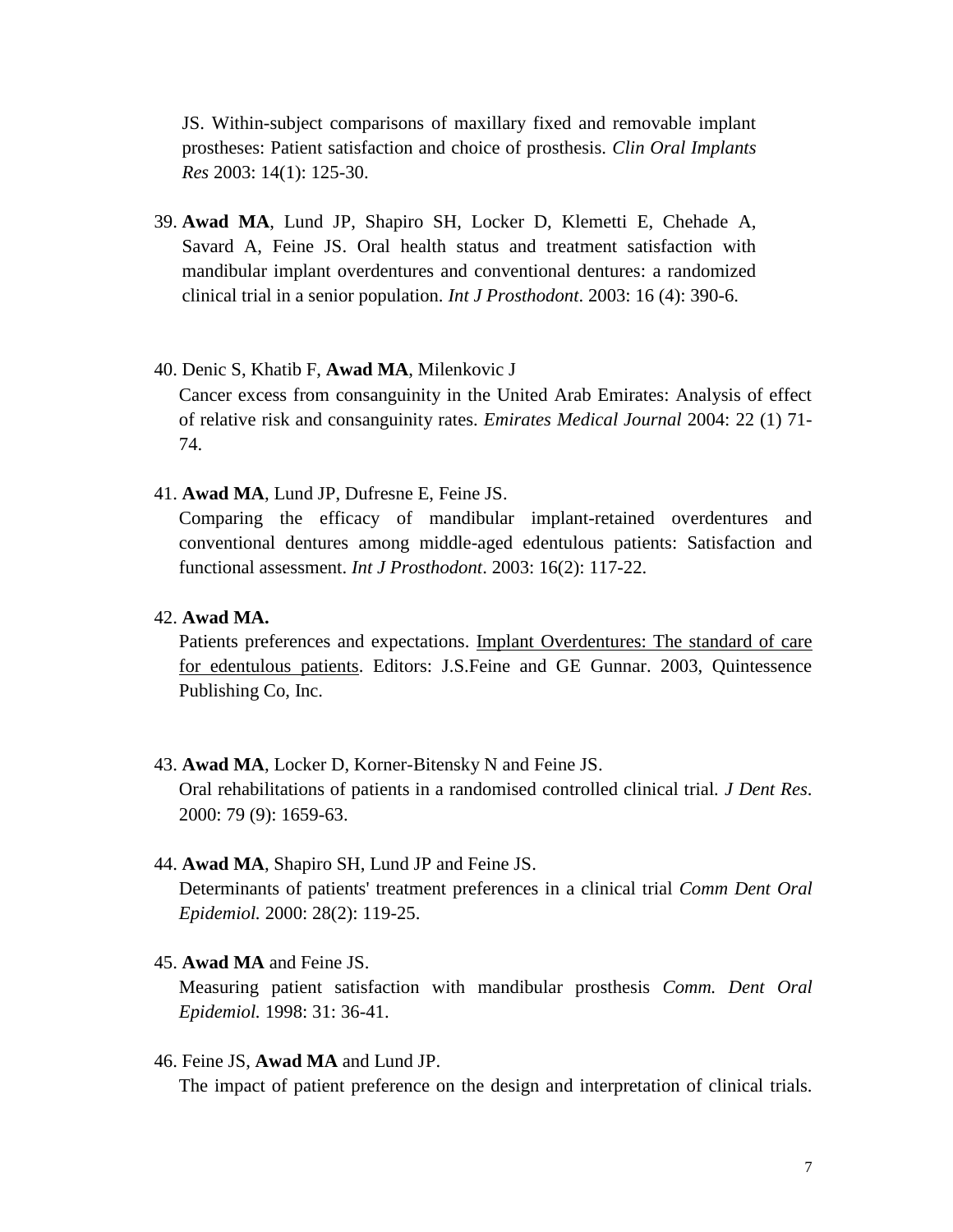JS. Within-subject comparisons of maxillary fixed and removable implant prostheses: Patient satisfaction and choice of prosthesis. *Clin Oral Implants Res* 2003: 14(1): 125-30.

39. **Awad MA**, Lund JP, Shapiro SH, Locker D, Klemetti E, Chehade A, Savard A, Feine JS. Oral health status and treatment satisfaction with mandibular implant overdentures and conventional dentures: a randomized clinical trial in a senior population. *Int J Prosthodont*. 2003: 16 (4): 390-6.

#### 40. Denic S, Khatib F, **Awad MA**, Milenkovic J

Cancer excess from consanguinity in the United Arab Emirates: Analysis of effect of relative risk and consanguinity rates. *Emirates Medical Journal* 2004: 22 (1) 71- 74.

41. **Awad MA**, Lund JP, Dufresne E, Feine JS.

Comparing the efficacy of mandibular implant-retained overdentures and conventional dentures among middle-aged edentulous patients: Satisfaction and functional assessment. *Int J Prosthodont*. 2003: 16(2): 117-22.

42. **Awad MA.**

Patients preferences and expectations. Implant Overdentures: The standard of care for edentulous patients. Editors: J.S.Feine and GE Gunnar. 2003, Quintessence Publishing Co, Inc.

#### 43. **Awad MA**, Locker D, Korner-Bitensky N and Feine JS.

Oral rehabilitations of patients in a randomised controlled clinical trial*. J Dent Res*. 2000: 79 (9): 1659-63.

#### 44. **Awad MA**, Shapiro SH, Lund JP and Feine JS.

Determinants of patients' treatment preferences in a clinical trial *Comm Dent Oral Epidemiol.* 2000: 28(2): 119-25.

#### 45. **Awad MA** and Feine JS.

Measuring patient satisfaction with mandibular prosthesis *Comm. Dent Oral Epidemiol.* 1998: 31: 36-41.

46. Feine JS, **Awad MA** and Lund JP.

The impact of patient preference on the design and interpretation of clinical trials.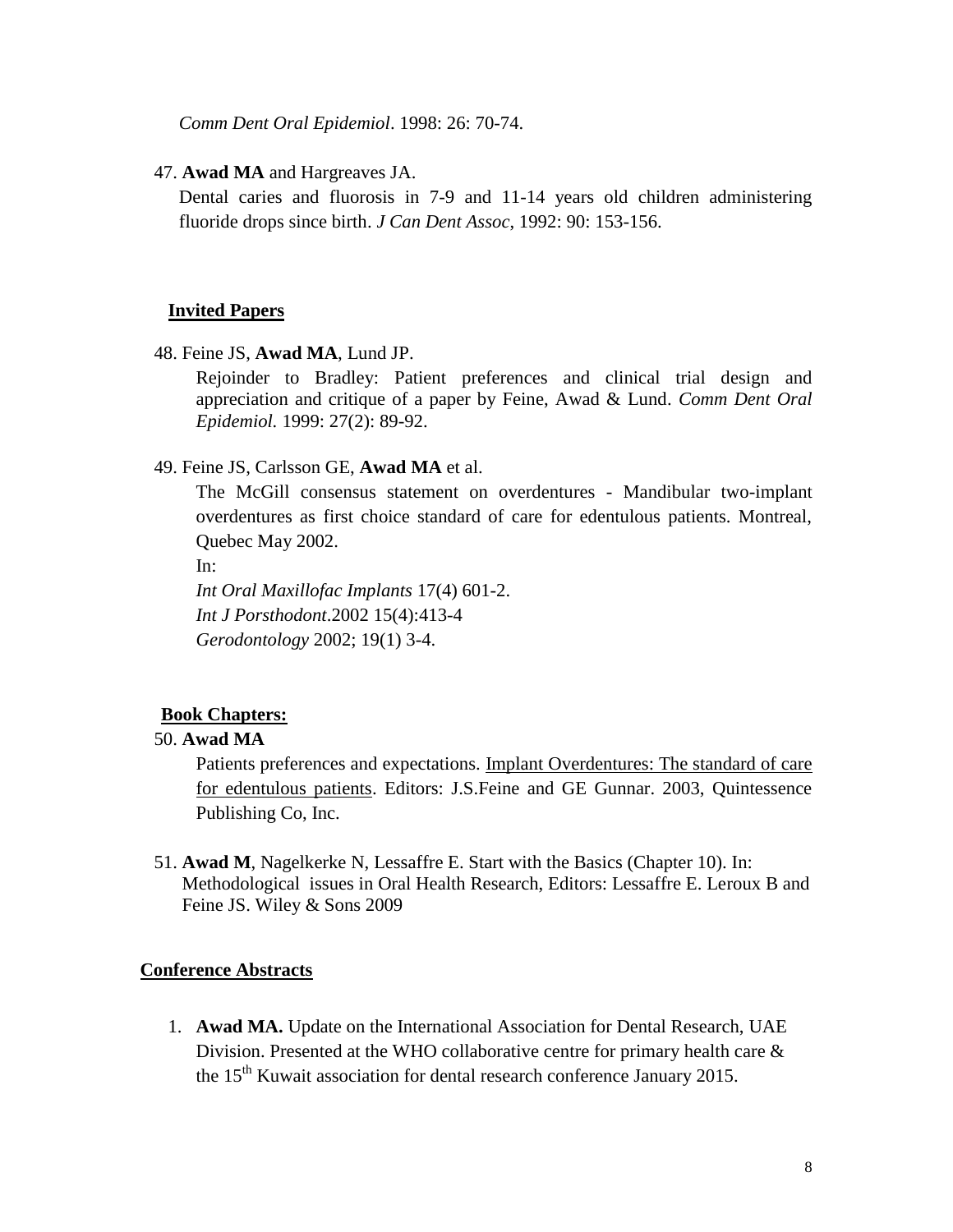*Comm Dent Oral Epidemiol*. 1998: 26: 70-74.

47. **Awad MA** and Hargreaves JA.

Dental caries and fluorosis in 7-9 and 11-14 years old children administering fluoride drops since birth. *J Can Dent Assoc*, 1992: 90: 153-156.

#### **Invited Papers**

48. Feine JS, **Awad MA**, Lund JP.

Rejoinder to Bradley: Patient preferences and clinical trial design and appreciation and critique of a paper by Feine, Awad & Lund. *Comm Dent Oral Epidemiol.* 1999: 27(2): 89-92.

#### 49. Feine JS, Carlsson GE, **Awad MA** et al.

The McGill consensus statement on overdentures - Mandibular two-implant overdentures as first choice standard of care for edentulous patients. Montreal, Quebec May 2002.

In:

*Int Oral Maxillofac Implants* 17(4) 601-2. *Int J Porsthodont*.2002 15(4):413-4 *Gerodontology* 2002; 19(1) 3-4.

#### **Book Chapters:**

#### 50. **Awad MA**

Patients preferences and expectations. Implant Overdentures: The standard of care for edentulous patients. Editors: J.S.Feine and GE Gunnar. 2003, Quintessence Publishing Co, Inc.

51. **Awad M**, Nagelkerke N, Lessaffre E. Start with the Basics (Chapter 10). In: Methodological issues in Oral Health Research, Editors: Lessaffre E. Leroux B and Feine JS. Wiley & Sons 2009

#### **Conference Abstracts**

1. **Awad MA.** Update on the International Association for Dental Research, UAE Division. Presented at the WHO collaborative centre for primary health care & the  $15<sup>th</sup>$  Kuwait association for dental research conference January 2015.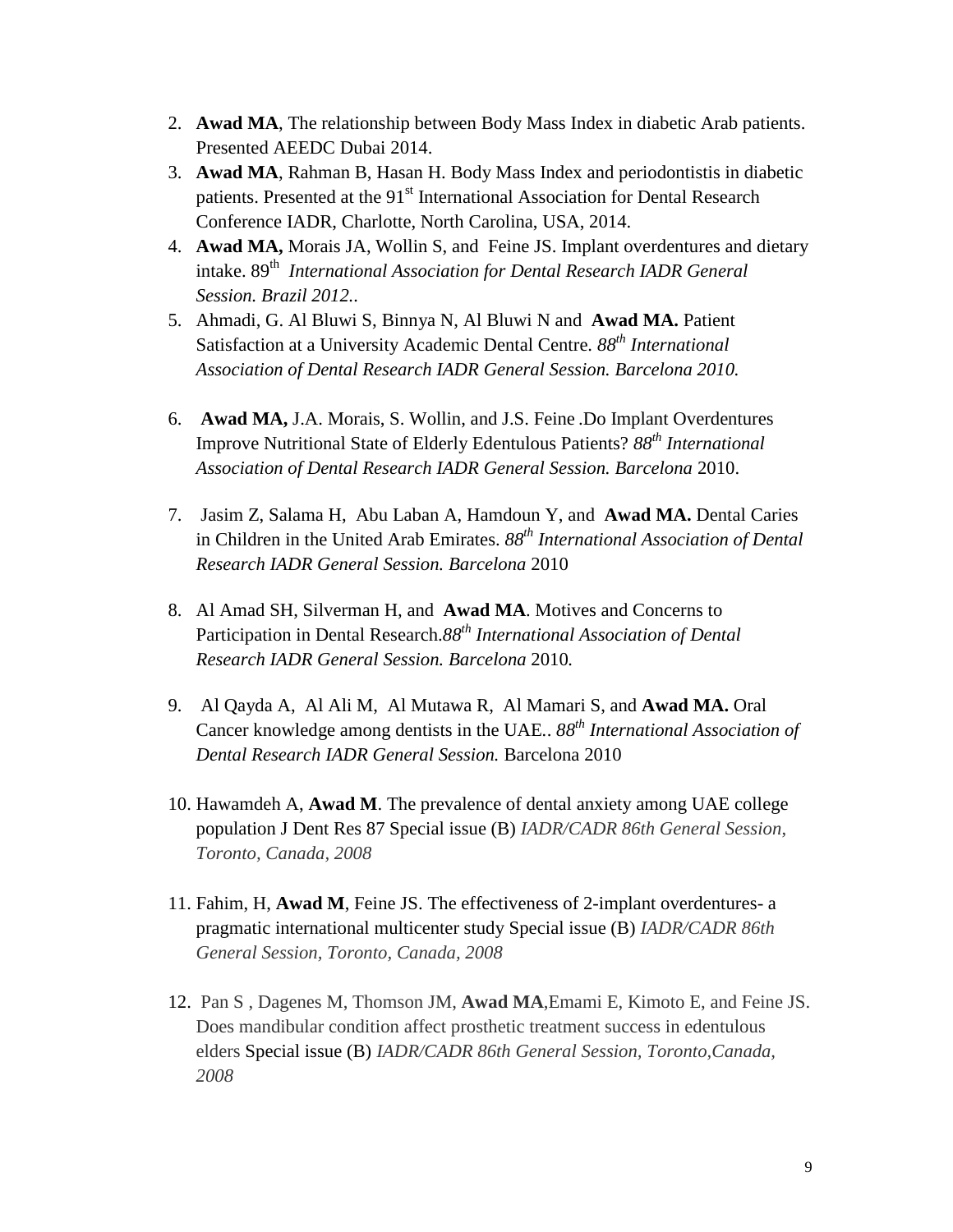- 2. **Awad MA**, The relationship between Body Mass Index in diabetic Arab patients. Presented AEEDC Dubai 2014.
- 3. **Awad MA**, Rahman B, Hasan H. Body Mass Index and periodontistis in diabetic patients. Presented at the 91<sup>st</sup> International Association for Dental Research Conference IADR, Charlotte, North Carolina, USA, 2014.
- 4. **Awad MA,** Morais JA, Wollin S, and Feine JS. Implant overdentures and dietary intake. 89th *International Association for Dental Research IADR General Session. Brazil 2012..*
- 5. Ahmadi, G. Al Bluwi S, Binnya N, Al Bluwi N and **Awad MA.** Patient Satisfaction at a University Academic Dental Centre. *88th International Association of Dental Research IADR General Session. Barcelona 2010.*
- 6. **Awad MA,** J.A. Morais, S. Wollin, and J.S. Feine .Do Implant Overdentures Improve Nutritional State of Elderly Edentulous Patients? *88th International Association of Dental Research IADR General Session. Barcelona* 2010.
- 7. Jasim Z, Salama H, Abu Laban A, Hamdoun Y, and **Awad MA.** Dental Caries in Children in the United Arab Emirates. *88th International Association of Dental Research IADR General Session. Barcelona* 2010
- 8. Al Amad SH, Silverman H, and **Awad MA**. Motives and Concerns to Participation in Dental Research.*88th International Association of Dental Research IADR General Session. Barcelona* 2010*.*
- 9. Al Qayda A, Al Ali M, Al Mutawa R, Al Mamari S, and **Awad MA.** Oral Cancer knowledge among dentists in the UAE*.*. *88th International Association of Dental Research IADR General Session.* Barcelona 2010
- 10. Hawamdeh A, **Awad M**. The prevalence of dental anxiety among UAE college population J Dent Res 87 Special issue (B) *IADR/CADR 86th General Session*, *Toronto, Canada, 2008*
- 11. Fahim, H, **Awad M**, Feine JS. [The effectiveness of 2-implant overdentures-](javascript:var%20myWindow=window.open() a [pragmatic international multicenter study](javascript:var%20myWindow=window.open() Special issue (B) *IADR/CADR 86th General Session, Toronto, Canada, 2008*
- 12. Pan S , Dagenes M, Thomson JM, **Awad MA**,Emami E, Kimoto E, and Feine JS. Does mandibular condition affect prosthetic treatment success in edentulous elders Special issue (B) *IADR/CADR 86th General Session, Toronto,Canada, 2008*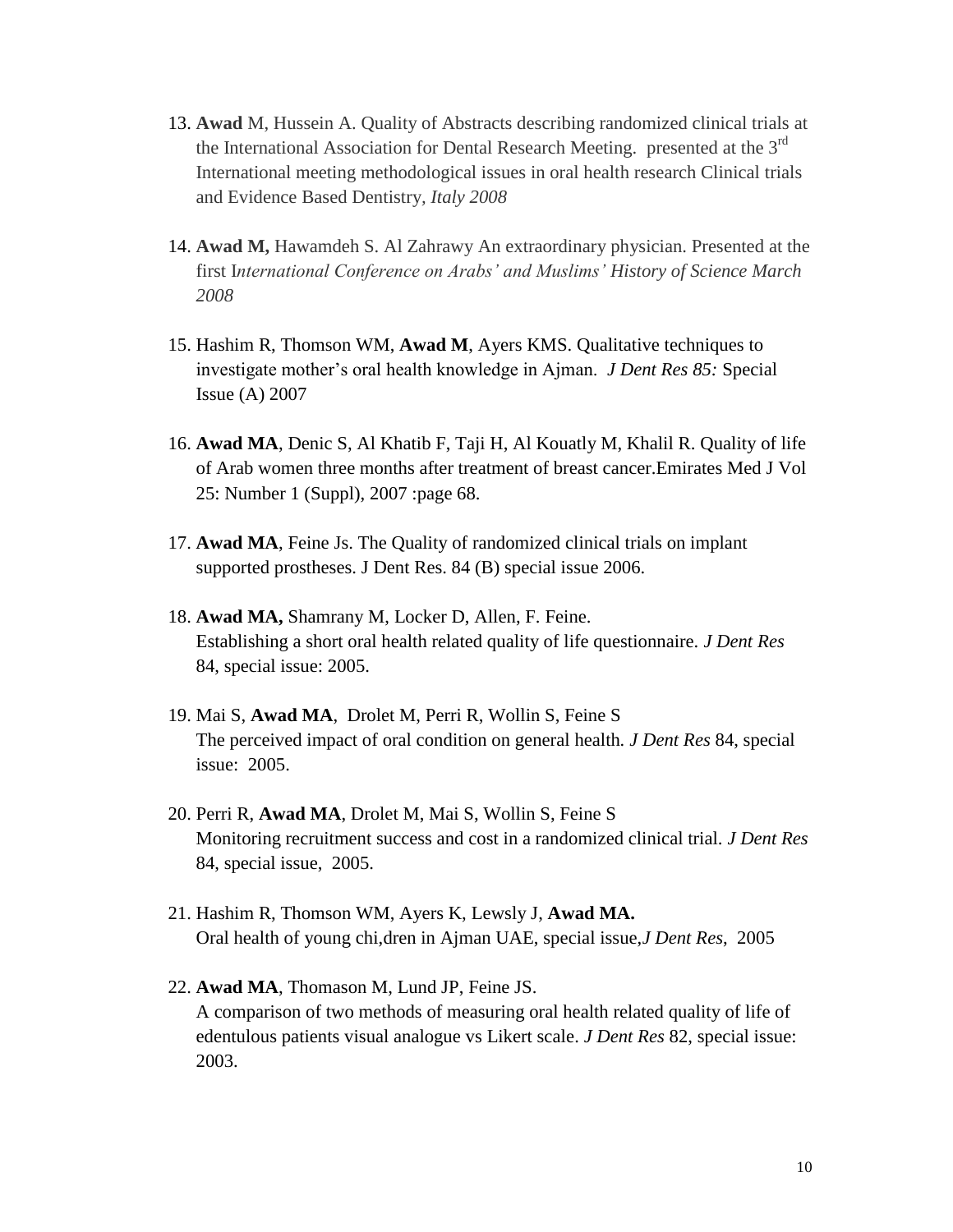- 13. **Awad** M, Hussein A. Quality of Abstracts describing randomized clinical trials at the International Association for Dental Research Meeting. presented at the 3<sup>rd</sup> International meeting methodological issues in oral health research Clinical trials and Evidence Based Dentistry*, Italy 2008*
- 14. **Awad M,** Hawamdeh S. Al Zahrawy An extraordinary physician. Presented at the first I*nternational Conference on Arabs' and Muslims' History of Science March 2008*
- 15. Hashim R, Thomson WM, **Awad M**, Ayers KMS. Qualitative techniques to investigate mother's oral health knowledge in Ajman. *J Dent Res 85:* Special Issue (A) 2007
- 16. **Awad MA**, Denic S, Al Khatib F, Taji H, Al Kouatly M, Khalil R. Quality of life of Arab women three months after treatment of breast cancer.Emirates Med J Vol 25: Number 1 (Suppl), 2007 :page 68.
- 17. **Awad MA**, Feine Js. The Quality of randomized clinical trials on implant supported prostheses. J Dent Res. 84 (B) special issue 2006.
- 18. **Awad MA,** Shamrany M, Locker D, Allen, F. Feine. Establishing a short oral health related quality of life questionnaire. *J Dent Res* 84, special issue: 2005.
- 19. Mai S, **Awad MA**, Drolet M, Perri R, Wollin S, Feine S The perceived impact of oral condition on general health*. J Dent Res* 84, special issue: 2005.
- 20. Perri R, **Awad MA**, Drolet M, Mai S, Wollin S, Feine S Monitoring recruitment success and cost in a randomized clinical trial. *J Dent Res* 84, special issue, 2005.
- 21. Hashim R, Thomson WM, Ayers K, Lewsly J, **Awad MA.** Oral health of young chi,dren in Ajman UAE, special issue,*J Dent Res*, 2005
- 22. **Awad MA**, Thomason M, Lund JP, Feine JS. A comparison of two methods of measuring oral health related quality of life of edentulous patients visual analogue vs Likert scale. *J Dent Res* 82, special issue: 2003.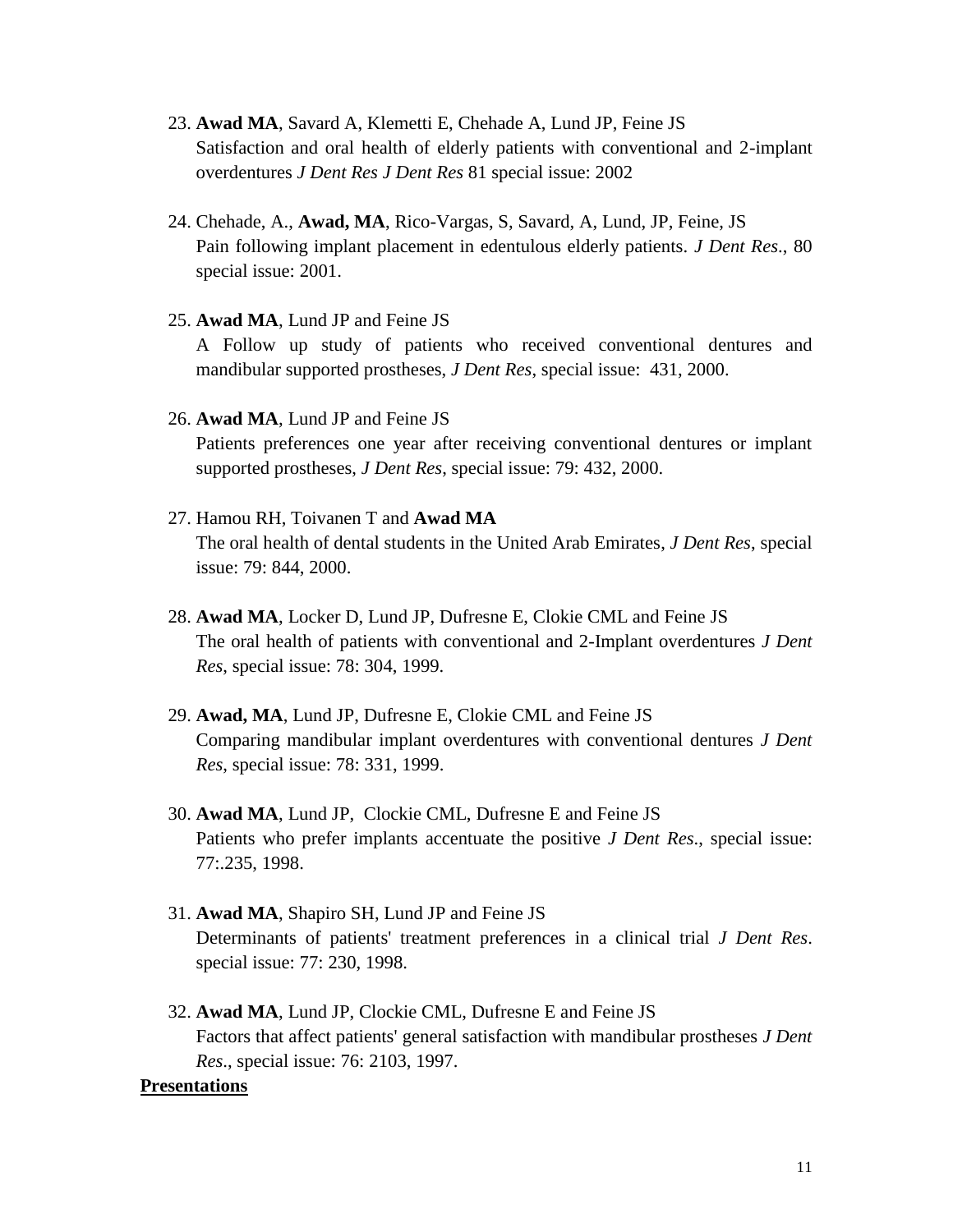- 23. **Awad MA**, Savard A, Klemetti E, Chehade A, Lund JP, Feine JS Satisfaction and oral health of elderly patients with conventional and 2-implant overdentures *J Dent Res J Dent Res* 81 special issue: 2002
- 24. Chehade, A., **Awad, MA**, Rico-Vargas, S, Savard, A, Lund, JP, Feine, JS Pain following implant placement in edentulous elderly patients. *J Dent Res*., 80 special issue: 2001.
- 25. **Awad MA**, Lund JP and Feine JS A Follow up study of patients who received conventional dentures and mandibular supported prostheses, *J Dent Res*, special issue: 431, 2000.
- 26. **Awad MA**, Lund JP and Feine JS Patients preferences one year after receiving conventional dentures or implant supported prostheses, *J Dent Res*, special issue: 79: 432, 2000.
- 27. Hamou RH, Toivanen T and **Awad MA** The oral health of dental students in the United Arab Emirates, *J Dent Res*, special issue: 79: 844, 2000.
- 28. **Awad MA**, Locker D, Lund JP, Dufresne E, Clokie CML and Feine JS The oral health of patients with conventional and 2-Implant overdentures *J Dent Res*, special issue: 78: 304, 1999.
- 29. **Awad, MA**, Lund JP, Dufresne E, Clokie CML and Feine JS Comparing mandibular implant overdentures with conventional dentures *J Dent Res*, special issue: 78: 331, 1999.
- 30. **Awad MA**, Lund JP, Clockie CML, Dufresne E and Feine JS Patients who prefer implants accentuate the positive *J Dent Res*., special issue: 77:.235, 1998.
- 31. **Awad MA**, Shapiro SH, Lund JP and Feine JS Determinants of patients' treatment preferences in a clinical trial *J Dent Res*. special issue: 77: 230, 1998.
- 32. **Awad MA**, Lund JP, Clockie CML, Dufresne E and Feine JS Factors that affect patients' general satisfaction with mandibular prostheses *J Dent Res*., special issue: 76: 2103, 1997.

#### **Presentations**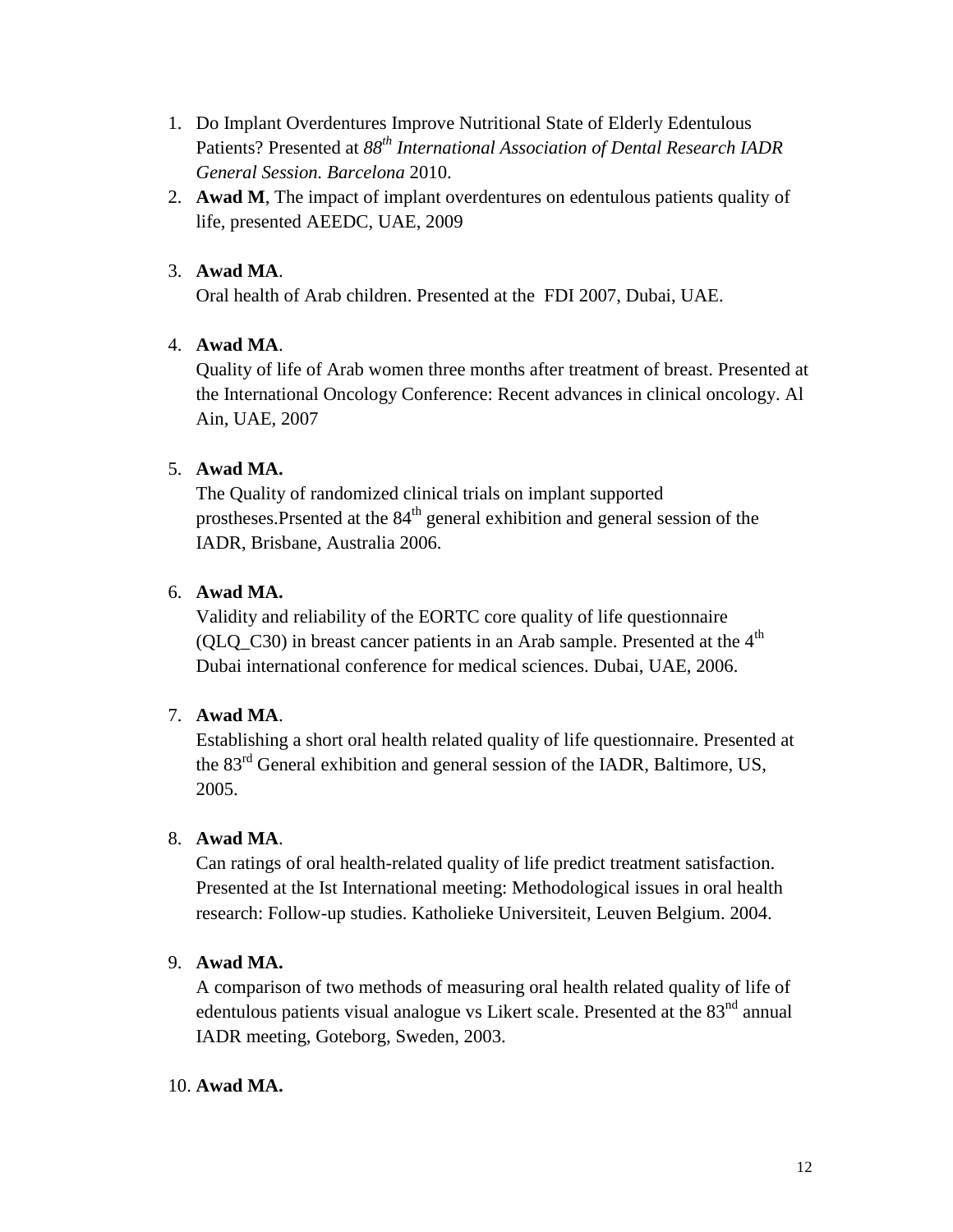- 1. Do Implant Overdentures Improve Nutritional State of Elderly Edentulous Patients? Presented at *88th International Association of Dental Research IADR General Session. Barcelona* 2010.
- 2. **Awad M**, The impact of implant overdentures on edentulous patients quality of life, presented AEEDC, UAE, 2009

# 3. **Awad MA**.

Oral health of Arab children. Presented at the FDI 2007, Dubai, UAE.

# 4. **Awad MA**.

Quality of life of Arab women three months after treatment of breast. Presented at the International Oncology Conference: Recent advances in clinical oncology. Al Ain, UAE, 2007

# 5. **Awad MA.**

The Quality of randomized clinical trials on implant supported prostheses.Prsented at the 84<sup>th</sup> general exhibition and general session of the IADR, Brisbane, Australia 2006.

# 6. **Awad MA.**

Validity and reliability of the EORTC core quality of life questionnaire (QLQ\_C30) in breast cancer patients in an Arab sample. Presented at the  $4<sup>th</sup>$ Dubai international conference for medical sciences. Dubai, UAE, 2006.

# 7. **Awad MA**.

Establishing a short oral health related quality of life questionnaire. Presented at the 83rd General exhibition and general session of the IADR, Baltimore, US, 2005.

# 8. **Awad MA**.

Can ratings of oral health-related quality of life predict treatment satisfaction. Presented at the Ist International meeting: Methodological issues in oral health research: Follow-up studies. Katholieke Universiteit, Leuven Belgium. 2004.

# 9. **Awad MA.**

A comparison of two methods of measuring oral health related quality of life of edentulous patients visual analogue vs Likert scale. Presented at the  $83<sup>nd</sup>$  annual IADR meeting, Goteborg, Sweden, 2003.

# 10. **Awad MA.**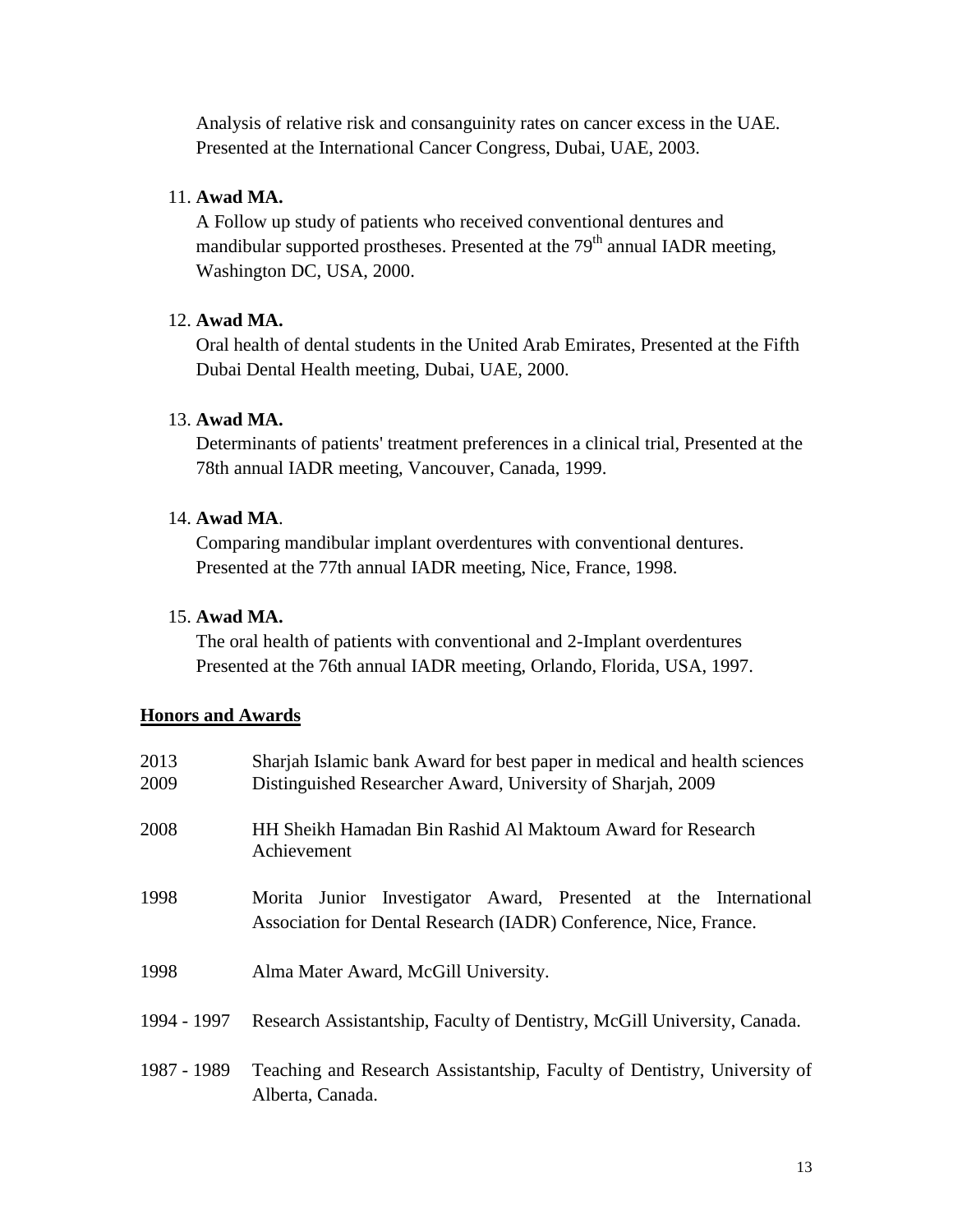Analysis of relative risk and consanguinity rates on cancer excess in the UAE. Presented at the International Cancer Congress, Dubai, UAE, 2003.

#### 11. **Awad MA.**

A Follow up study of patients who received conventional dentures and mandibular supported prostheses. Presented at the  $79<sup>th</sup>$  annual IADR meeting, Washington DC, USA, 2000.

#### 12. **Awad MA.**

Oral health of dental students in the United Arab Emirates, Presented at the Fifth Dubai Dental Health meeting, Dubai, UAE, 2000.

# 13. **Awad MA.**

Determinants of patients' treatment preferences in a clinical trial, Presented at the 78th annual IADR meeting, Vancouver, Canada, 1999.

#### 14. **Awad MA**.

Comparing mandibular implant overdentures with conventional dentures. Presented at the 77th annual IADR meeting, Nice, France, 1998.

#### 15. **Awad MA.**

The oral health of patients with conventional and 2-Implant overdentures Presented at the 76th annual IADR meeting, Orlando, Florida, USA, 1997.

#### **Honors and Awards**

| 2013        | Sharjah Islamic bank Award for best paper in medical and health sciences                                                             |
|-------------|--------------------------------------------------------------------------------------------------------------------------------------|
| 2009        | Distinguished Researcher Award, University of Sharjah, 2009                                                                          |
| 2008        | HH Sheikh Hamadan Bin Rashid Al Maktoum Award for Research<br>Achievement                                                            |
| 1998        | Morita Junior Investigator Award, Presented at the International<br>Association for Dental Research (IADR) Conference, Nice, France. |
| 1998        | Alma Mater Award, McGill University.                                                                                                 |
| 1994 - 1997 | Research Assistantship, Faculty of Dentistry, McGill University, Canada.                                                             |
| 1987 - 1989 | Teaching and Research Assistantship, Faculty of Dentistry, University of<br>Alberta, Canada.                                         |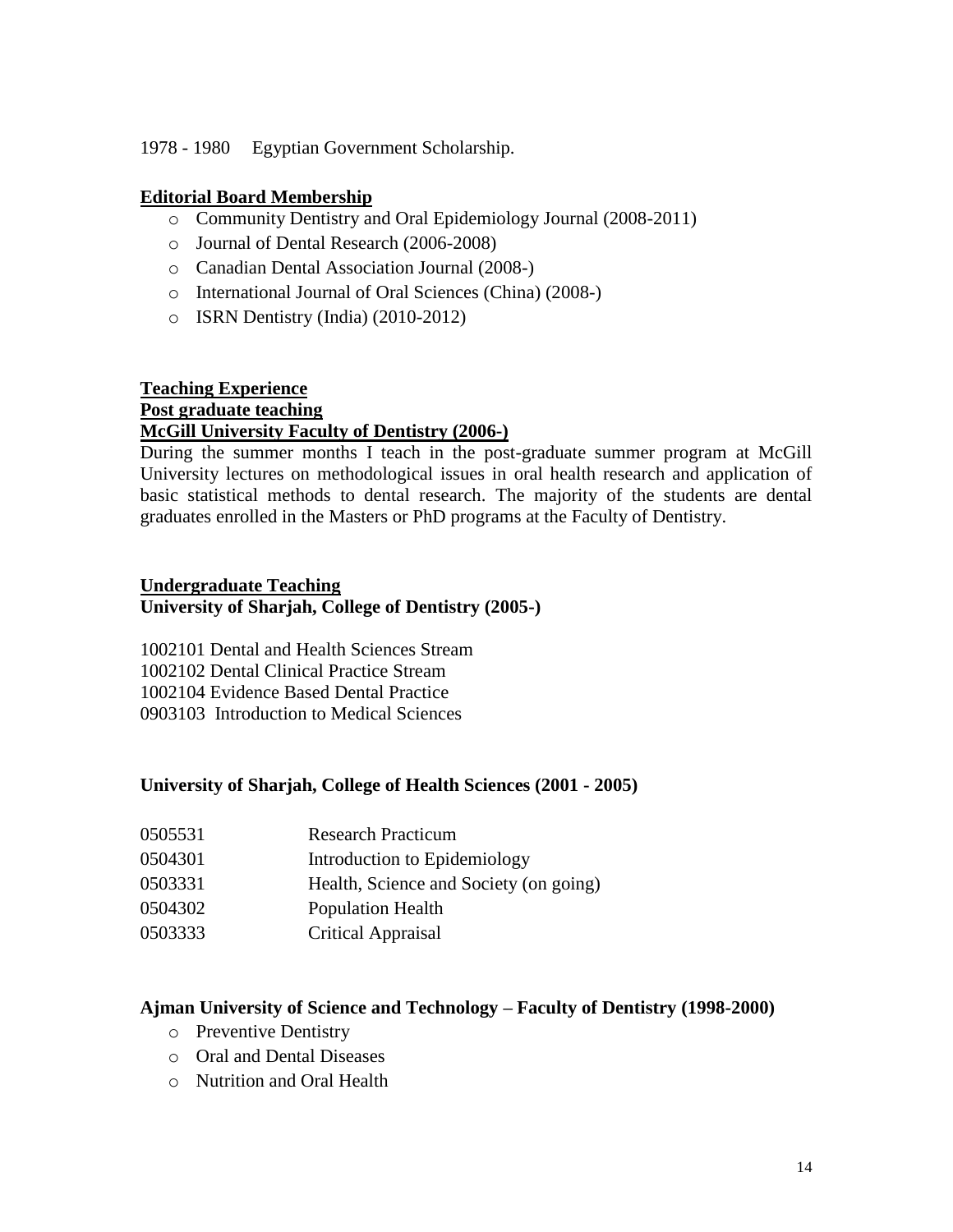1978 - 1980 Egyptian Government Scholarship.

# **Editorial Board Membership**

- o Community Dentistry and Oral Epidemiology Journal (2008-2011)
- o Journal of Dental Research (2006-2008)
- o Canadian Dental Association Journal (2008-)
- o International Journal of Oral Sciences (China) (2008-)
- o ISRN Dentistry (India) (2010-2012)

# **Teaching Experience**

#### **Post graduate teaching McGill University Faculty of Dentistry (2006-)**

During the summer months I teach in the post-graduate summer program at McGill University lectures on methodological issues in oral health research and application of basic statistical methods to dental research. The majority of the students are dental graduates enrolled in the Masters or PhD programs at the Faculty of Dentistry.

# **Undergraduate Teaching University of Sharjah, College of Dentistry (2005-)**

1002101 Dental and Health Sciences Stream 1002102 Dental Clinical Practice Stream 1002104 Evidence Based Dental Practice 0903103 Introduction to Medical Sciences

# **University of Sharjah, College of Health Sciences (2001 - 2005)**

- 0505531 Research Practicum
- 0504301 Introduction to Epidemiology
- 0503331 Health, Science and Society (on going)
- 0504302 Population Health
- 0503333 Critical Appraisal

# **Ajman University of Science and Technology – Faculty of Dentistry (1998-2000)**

- o Preventive Dentistry
- o Oral and Dental Diseases
- o Nutrition and Oral Health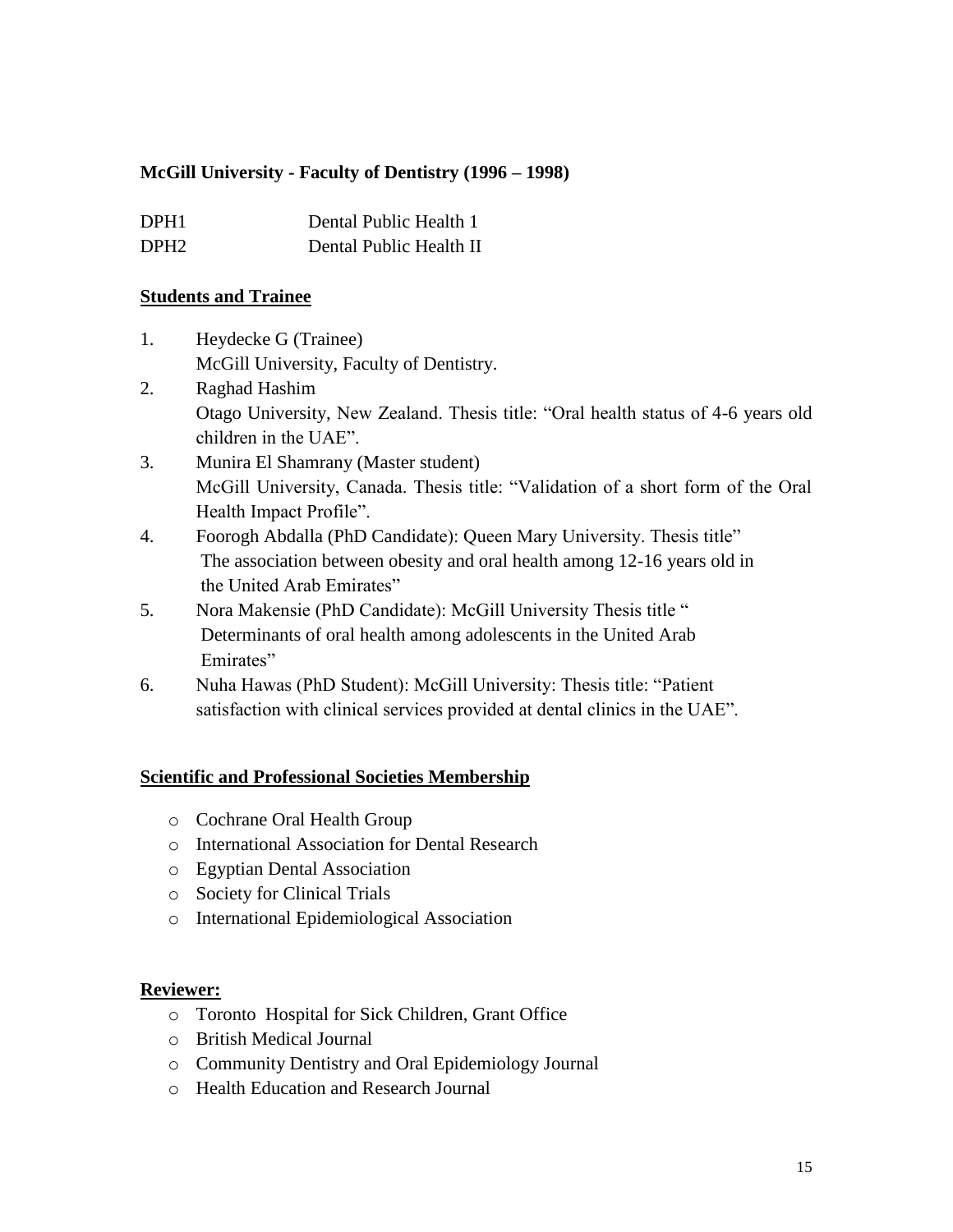# **McGill University - Faculty of Dentistry (1996 – 1998)**

| DPH <sub>1</sub> | Dental Public Health 1  |
|------------------|-------------------------|
| DPH <sub>2</sub> | Dental Public Health II |

#### **Students and Trainee**

- 1. Heydecke G (Trainee) McGill University, Faculty of Dentistry.
- 2. Raghad Hashim Otago University, New Zealand. Thesis title: "Oral health status of 4-6 years old children in the UAE".
- 3. Munira El Shamrany (Master student) McGill University, Canada. Thesis title: "Validation of a short form of the Oral Health Impact Profile".
- 4. Foorogh Abdalla (PhD Candidate): Queen Mary University. Thesis title" The association between obesity and oral health among 12-16 years old in the United Arab Emirates"
- 5. Nora Makensie (PhD Candidate): McGill University Thesis title " Determinants of oral health among adolescents in the United Arab Emirates"
- 6. Nuha Hawas (PhD Student): McGill University: Thesis title: "Patient satisfaction with clinical services provided at dental clinics in the UAE".

# **Scientific and Professional Societies Membership**

- o Cochrane Oral Health Group
- o International Association for Dental Research
- o Egyptian Dental Association
- o Society for Clinical Trials
- o International Epidemiological Association

# **Reviewer:**

- o Toronto Hospital for Sick Children, Grant Office
- o British Medical Journal
- o Community Dentistry and Oral Epidemiology Journal
- o Health Education and Research Journal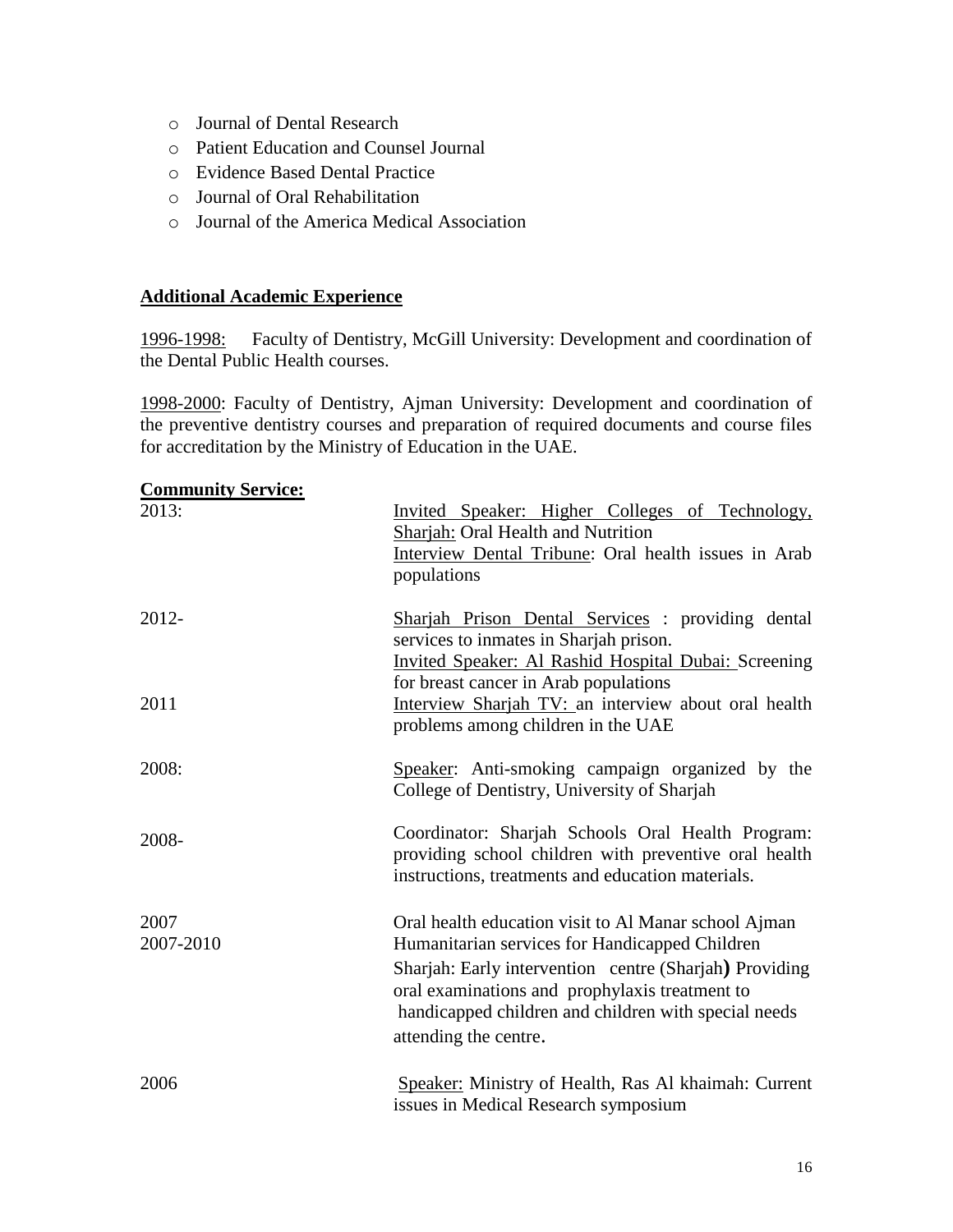- o Journal of Dental Research
- o Patient Education and Counsel Journal
- o Evidence Based Dental Practice
- o Journal of Oral Rehabilitation
- o Journal of the America Medical Association

## **Additional Academic Experience**

1996-1998: Faculty of Dentistry, McGill University: Development and coordination of the Dental Public Health courses.

1998-2000: Faculty of Dentistry, Ajman University: Development and coordination of the preventive dentistry courses and preparation of required documents and course files for accreditation by the Ministry of Education in the UAE.

| <b>Community Service:</b> |                                                                                                                                                                                                                                                                                                     |
|---------------------------|-----------------------------------------------------------------------------------------------------------------------------------------------------------------------------------------------------------------------------------------------------------------------------------------------------|
| 2013:                     | Invited Speaker: Higher Colleges of Technology,<br>Sharjah: Oral Health and Nutrition<br>Interview Dental Tribune: Oral health issues in Arab<br>populations                                                                                                                                        |
| $2012 -$                  | Sharjah Prison Dental Services : providing dental<br>services to inmates in Sharjah prison.<br><b>Invited Speaker: Al Rashid Hospital Dubai: Screening</b><br>for breast cancer in Arab populations                                                                                                 |
| 2011                      | Interview Sharjah TV: an interview about oral health<br>problems among children in the UAE                                                                                                                                                                                                          |
| 2008:                     | Speaker: Anti-smoking campaign organized by the<br>College of Dentistry, University of Sharjah                                                                                                                                                                                                      |
| 2008-                     | Coordinator: Sharjah Schools Oral Health Program:<br>providing school children with preventive oral health<br>instructions, treatments and education materials.                                                                                                                                     |
| 2007<br>2007-2010         | Oral health education visit to Al Manar school Ajman<br>Humanitarian services for Handicapped Children<br>Sharjah: Early intervention centre (Sharjah) Providing<br>oral examinations and prophylaxis treatment to<br>handicapped children and children with special needs<br>attending the centre. |
| 2006                      | Speaker: Ministry of Health, Ras Al khaimah: Current<br>issues in Medical Research symposium                                                                                                                                                                                                        |